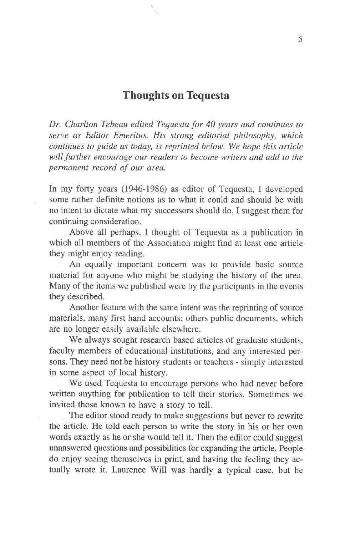## **Thoughts on Tequesta**

*Dr. Charlton Tebeau edited Tequesta for 40 years and continues to serve as Editor Emeritus. His strong editorial philosophy, which continues to guide us today, is reprinted below. We hope this article will further encourage our readers to become writers and add to the permanent record of our area.*

In my forty years **(1946-1986)** as editor of Tequesta, **I** developed some rather definite notions as to what it could and should be with no intent to dictate what my successors should do, **I** suggest them for continuing consideration.

Above all perhaps, **I** thought of Tequesta as a publication in which all members of the Association might find at least one article they might enjoy reading.

An equally important concern was to provide basic source material for anyone who might be studying the history of the area. Many of the items we published were by the participants in the events they described.

Another feature with the same intent was the reprinting of source materials, many first hand accounts; others public documents, which are no longer easily available elsewhere.

We always sought research based articles of graduate students, faculty members of educational institutions, and any interested persons. They need not be history students or teachers - simply interested in some aspect of local history.

We used Tequesta to encourage persons who had never before written anything for publication to tell their stories. Sometimes we invited those known to have a story to tell.

The editor stood ready to make suggestions but never to rewrite the article. He told each person to write the story in his or her own words exactly as he or she would tell it. Then the editor could suggest unanswered questions and possibilities for expanding the article. People do enjoy seeing themselves in print, and having the feeling they actually wrote it. Laurence Will was hardly a typical case, but he